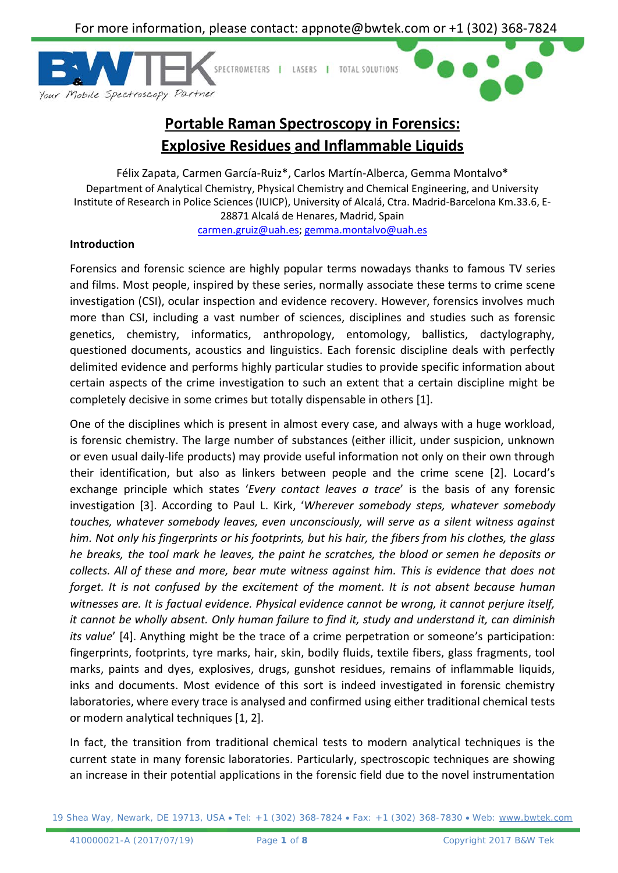

# **Portable Raman Spectroscopy in Forensics: Explosive Residues and Inflammable Liquids**

Félix Zapata, Carmen García-Ruiz\*, Carlos Martín-Alberca, Gemma Montalvo\* Department of Analytical Chemistry, Physical Chemistry and Chemical Engineering, and University Institute of Research in Police Sciences (IUICP), University of Alcalá, Ctra. Madrid-Barcelona Km.33.6, E-28871 Alcalá de Henares, Madrid, Spain

[carmen.gruiz@uah.es;](mailto:carmen.gruiz@uah.es) [gemma.montalvo@uah.es](mailto:gemma.montalvo@uah.es)

## **Introduction**

Forensics and forensic science are highly popular terms nowadays thanks to famous TV series and films. Most people, inspired by these series, normally associate these terms to crime scene investigation (CSI), ocular inspection and evidence recovery. However, forensics involves much more than CSI, including a vast number of sciences, disciplines and studies such as forensic genetics, chemistry, informatics, anthropology, entomology, ballistics, dactylography, questioned documents, acoustics and linguistics. Each forensic discipline deals with perfectly delimited evidence and performs highly particular studies to provide specific information about certain aspects of the crime investigation to such an extent that a certain discipline might be completely decisive in some crimes but totally dispensable in others [1].

One of the disciplines which is present in almost every case, and always with a huge workload, is forensic chemistry. The large number of substances (either illicit, under suspicion, unknown or even usual daily-life products) may provide useful information not only on their own through their identification, but also as linkers between people and the crime scene [2]. Locard's exchange principle which states '*Every contact leaves a trace*' is the basis of any forensic investigation [3]. According to Paul L. Kirk, '*Wherever somebody steps, whatever somebody touches, whatever somebody leaves, even unconsciously, will serve as a silent witness against him. Not only his fingerprints or his footprints, but his hair, the fibers from his clothes, the glass he breaks, the tool mark he leaves, the paint he scratches, the blood or semen he deposits or collects. All of these and more, bear mute witness against him. This is evidence that does not forget. It is not confused by the excitement of the moment. It is not absent because human witnesses are. It is factual evidence. Physical evidence cannot be wrong, it cannot perjure itself, it cannot be wholly absent. Only human failure to find it, study and understand it, can diminish its value*' [4]. Anything might be the trace of a crime perpetration or someone's participation: fingerprints, footprints, tyre marks, hair, skin, bodily fluids, textile fibers, glass fragments, tool marks, paints and dyes, explosives, drugs, gunshot residues, remains of inflammable liquids, inks and documents. Most evidence of this sort is indeed investigated in forensic chemistry laboratories, where every trace is analysed and confirmed using either traditional chemical tests or modern analytical techniques [1, 2].

In fact, the transition from traditional chemical tests to modern analytical techniques is the current state in many forensic laboratories. Particularly, spectroscopic techniques are showing an increase in their potential applications in the forensic field due to the novel instrumentation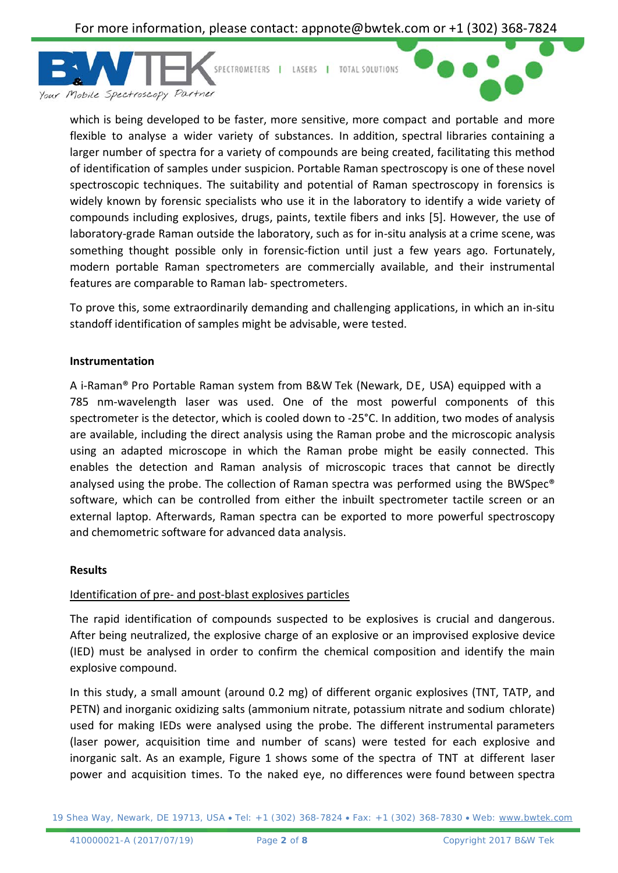

which is being developed to be faster, more sensitive, more compact and portable and more flexible to analyse a wider variety of substances. In addition, spectral libraries containing a larger number of spectra for a variety of compounds are being created, facilitating this method of identification of samples under suspicion. Portable Raman spectroscopy is one of these novel spectroscopic techniques. The suitability and potential of Raman spectroscopy in forensics is widely known by forensic specialists who use it in the laboratory to identify a wide variety of compounds including explosives, drugs, paints, textile fibers and inks [5]. However, the use of laboratory-grade Raman outside the laboratory, such as for in-situ analysis at a crime scene, was something thought possible only in forensic-fiction until just a few years ago. Fortunately, modern portable Raman spectrometers are commercially available, and their instrumental features are comparable to Raman lab- spectrometers.

To prove this, some extraordinarily demanding and challenging applications, in which an in-situ standoff identification of samples might be advisable, were tested.

#### **Instrumentation**

A i-Raman® Pro Portable Raman system from B&W Tek (Newark, DE, USA) equipped with a 785 nm-wavelength laser was used. One of the most powerful components of this spectrometer is the detector, which is cooled down to -25°C. In addition, two modes of analysis are available, including the direct analysis using the Raman probe and the microscopic analysis using an adapted microscope in which the Raman probe might be easily connected. This enables the detection and Raman analysis of microscopic traces that cannot be directly analysed using the probe. The collection of Raman spectra was performed using the BWSpec® software, which can be controlled from either the inbuilt spectrometer tactile screen or an external laptop. Afterwards, Raman spectra can be exported to more powerful spectroscopy and chemometric software for advanced data analysis.

#### **Results**

#### Identification of pre- and post-blast explosives particles

The rapid identification of compounds suspected to be explosives is crucial and dangerous. After being neutralized, the explosive charge of an explosive or an improvised explosive device (IED) must be analysed in order to confirm the chemical composition and identify the main explosive compound.

In this study, a small amount (around 0.2 mg) of different organic explosives (TNT, TATP, and PETN) and inorganic oxidizing salts (ammonium nitrate, potassium nitrate and sodium chlorate) used for making IEDs were analysed using the probe. The different instrumental parameters (laser power, acquisition time and number of scans) were tested for each explosive and inorganic salt. As an example, Figure 1 shows some of the spectra of TNT at different laser power and acquisition times. To the naked eye, no differences were found between spectra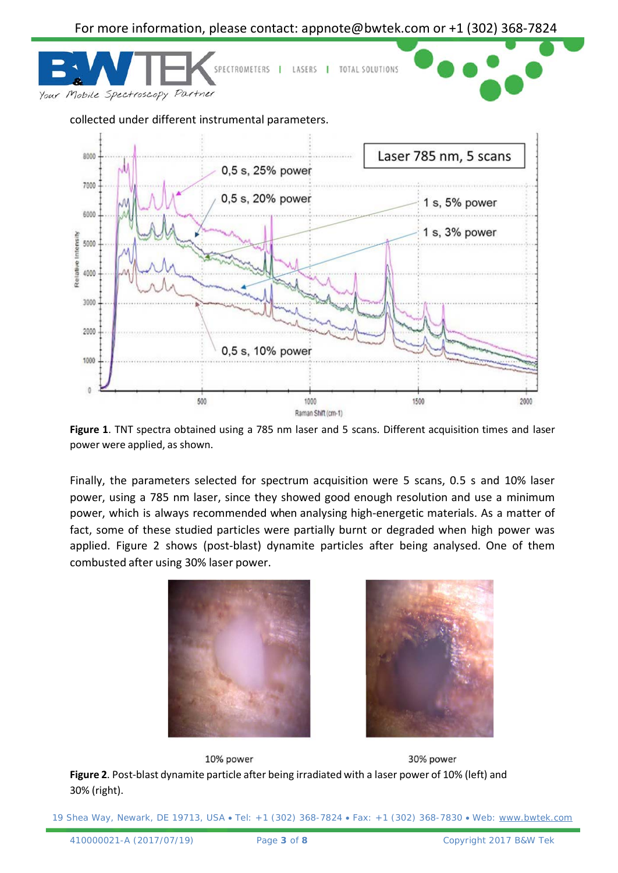

**Figure 1**. TNT spectra obtained using a 785 nm laser and 5 scans. Different acquisition times and laser power were applied, as shown.

Finally, the parameters selected for spectrum acquisition were 5 scans, 0.5 s and 10% laser power, using a 785 nm laser, since they showed good enough resolution and use a minimum power, which is always recommended when analysing high-energetic materials. As a matter of fact, some of these studied particles were partially burnt or degraded when high power was applied. Figure 2 shows (post-blast) dynamite particles after being analysed. One of them combusted after using 30% laser power.





10% power 30% power **Figure 2**. Post-blast dynamite particle after being irradiated with a laser power of 10% (left) and 30% (right).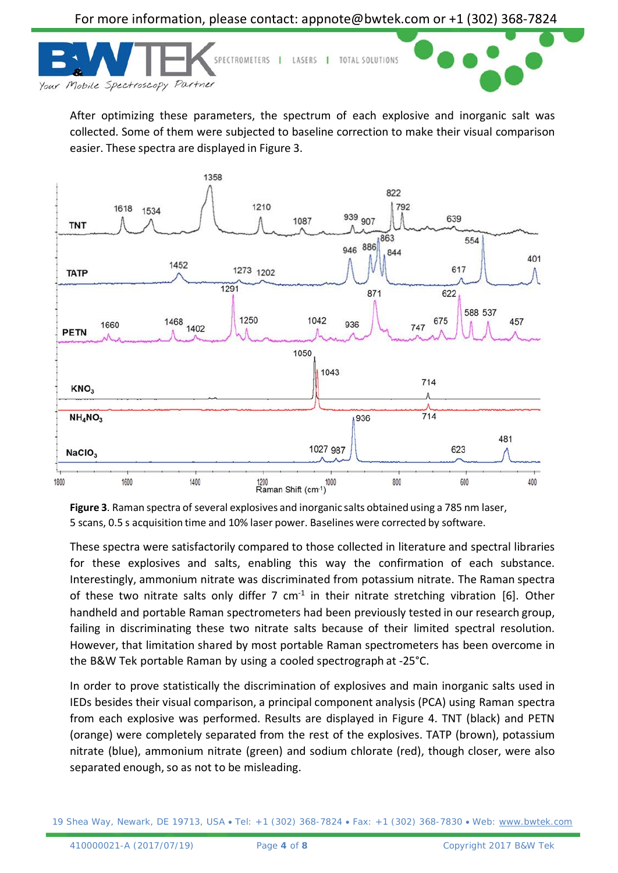



After optimizing these parameters, the spectrum of each explosive and inorganic salt was collected. Some of them were subjected to baseline correction to make their visual comparison easier. These spectra are displayed in Figure 3.



**Figure 3**. Raman spectra of several explosives and inorganic salts obtained using a 785 nm laser, 5 scans, 0.5 s acquisition time and 10% laser power. Baselines were corrected by software.

These spectra were satisfactorily compared to those collected in literature and spectral libraries for these explosives and salts, enabling this way the confirmation of each substance. Interestingly, ammonium nitrate was discriminated from potassium nitrate. The Raman spectra of these two nitrate salts only differ 7  $cm<sup>-1</sup>$  in their nitrate stretching vibration [6]. Other handheld and portable Raman spectrometers had been previously tested in our research group, failing in discriminating these two nitrate salts because of their limited spectral resolution. However, that limitation shared by most portable Raman spectrometers has been overcome in the B&W Tek portable Raman by using a cooled spectrograph at -25°C.

In order to prove statistically the discrimination of explosives and main inorganic salts used in IEDs besides their visual comparison, a principal component analysis (PCA) using Raman spectra from each explosive was performed. Results are displayed in Figure 4. TNT (black) and PETN (orange) were completely separated from the rest of the explosives. TATP (brown), potassium nitrate (blue), ammonium nitrate (green) and sodium chlorate (red), though closer, were also separated enough, so as not to be misleading.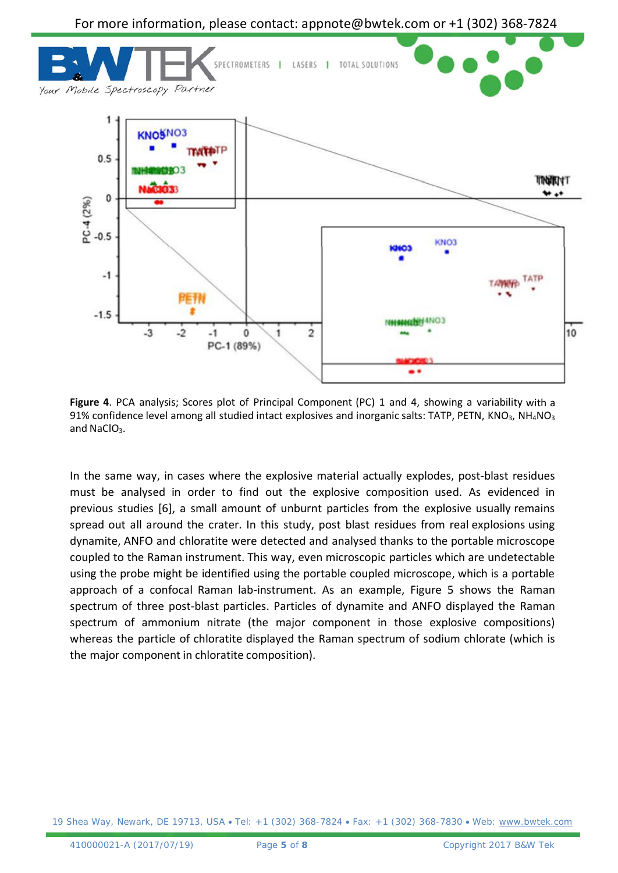

**Figure 4**. PCA analysis; Scores plot of Principal Component (PC) 1 and 4, showing a variability with a 91% confidence level among all studied intact explosives and inorganic salts: TATP, PETN, KNO<sub>3</sub>, NH<sub>4</sub>NO<sub>3</sub> and NaClO<sub>3</sub>.

In the same way, in cases where the explosive material actually explodes, post-blast residues must be analysed in order to find out the explosive composition used. As evidenced in previous studies [6], a small amount of unburnt particles from the explosive usually remains spread out all around the crater. In this study, post blast residues from real explosions using dynamite, ANFO and chloratite were detected and analysed thanks to the portable microscope coupled to the Raman instrument. This way, even microscopic particles which are undetectable using the probe might be identified using the portable coupled microscope, which is a portable approach of a confocal Raman lab-instrument. As an example, Figure 5 shows the Raman spectrum of three post-blast particles. Particles of dynamite and ANFO displayed the Raman spectrum of ammonium nitrate (the major component in those explosive compositions) whereas the particle of chloratite displayed the Raman spectrum of sodium chlorate (which is the major component in chloratite composition).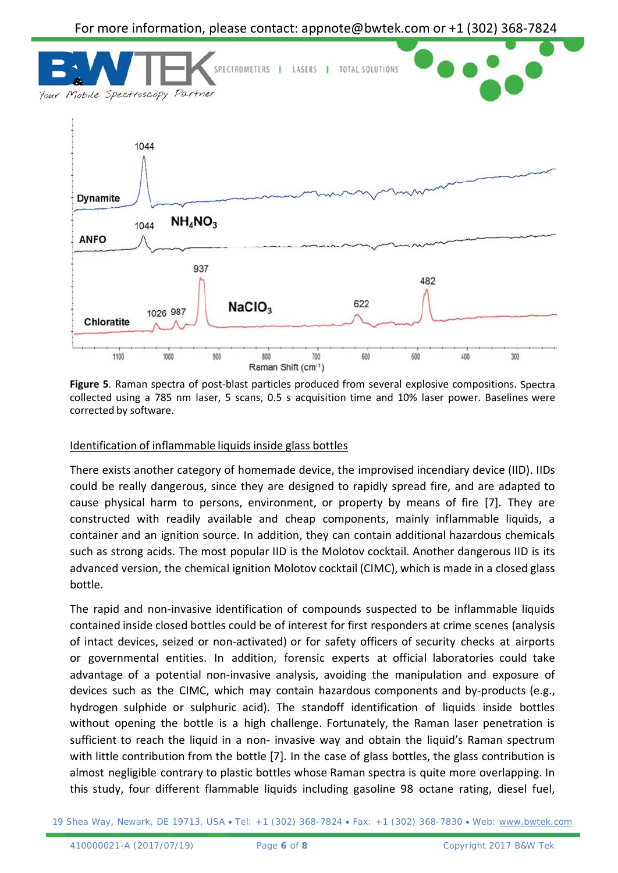

**Figure 5**. Raman spectra of post-blast particles produced from several explosive compositions. Spectra collected using a 785 nm laser, 5 scans, 0.5 s acquisition time and 10% laser power. Baselines were corrected by software.

### Identification of inflammable liquids inside glass bottles

There exists another category of homemade device, the improvised incendiary device (IID). IIDs could be really dangerous, since they are designed to rapidly spread fire, and are adapted to cause physical harm to persons, environment, or property by means of fire [7]. They are constructed with readily available and cheap components, mainly inflammable liquids, a container and an ignition source. In addition, they can contain additional hazardous chemicals such as strong acids. The most popular IID is the Molotov cocktail. Another dangerous IID is its advanced version, the chemical ignition Molotov cocktail (CIMC), which is made in a closed glass bottle.

The rapid and non-invasive identification of compounds suspected to be inflammable liquids contained inside closed bottles could be of interest for first responders at crime scenes (analysis of intact devices, seized or non-activated) or for safety officers of security checks at airports or governmental entities. In addition, forensic experts at official laboratories could take advantage of a potential non-invasive analysis, avoiding the manipulation and exposure of devices such as the CIMC, which may contain hazardous components and by-products (e.g., hydrogen sulphide or sulphuric acid). The standoff identification of liquids inside bottles without opening the bottle is a high challenge. Fortunately, the Raman laser penetration is sufficient to reach the liquid in a non- invasive way and obtain the liquid's Raman spectrum with little contribution from the bottle [7]. In the case of glass bottles, the glass contribution is almost negligible contrary to plastic bottles whose Raman spectra is quite more overlapping. In this study, four different flammable liquids including gasoline 98 octane rating, diesel fuel,

19 Shea Way, Newark, DE 19713, USA • Tel: +1 (302) 368-7824 • Fax: +1 (302) 368-7830 • Web: [www.bwtek.com](http://www.bwtek.com/)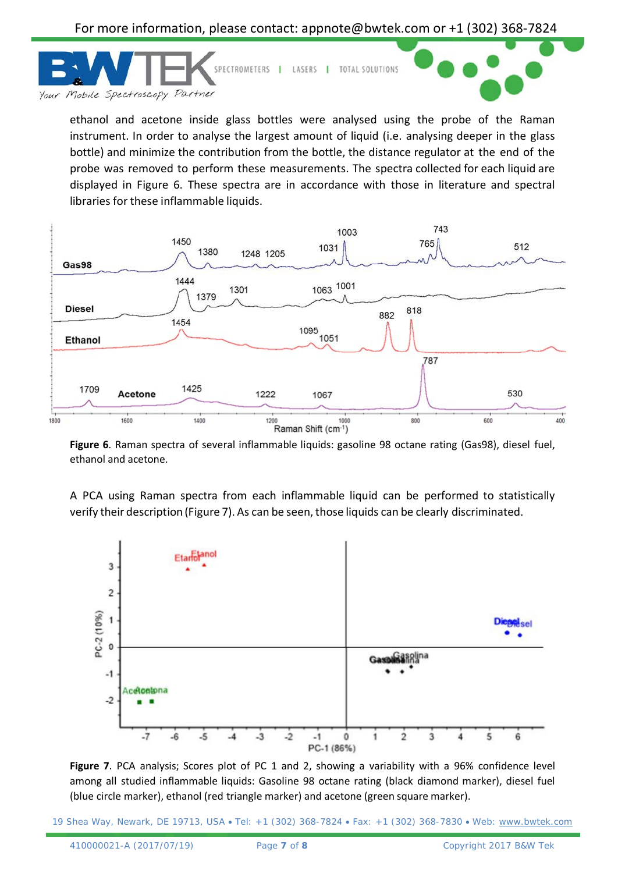

ethanol and acetone inside glass bottles were analysed using the probe of the Raman instrument. In order to analyse the largest amount of liquid (i.e. analysing deeper in the glass bottle) and minimize the contribution from the bottle, the distance regulator at the end of the probe was removed to perform these measurements. The spectra collected for each liquid are displayed in Figure 6. These spectra are in accordance with those in literature and spectral libraries for these inflammable liquids.



**Figure 6**. Raman spectra of several inflammable liquids: gasoline 98 octane rating (Gas98), diesel fuel, ethanol and acetone.

A PCA using Raman spectra from each inflammable liquid can be performed to statistically verify their description (Figure 7). As can be seen, those liquids can be clearly discriminated.



**Figure 7**. PCA analysis; Scores plot of PC 1 and 2, showing a variability with a 96% confidence level among all studied inflammable liquids: Gasoline 98 octane rating (black diamond marker), diesel fuel (blue circle marker), ethanol (red triangle marker) and acetone (green square marker).